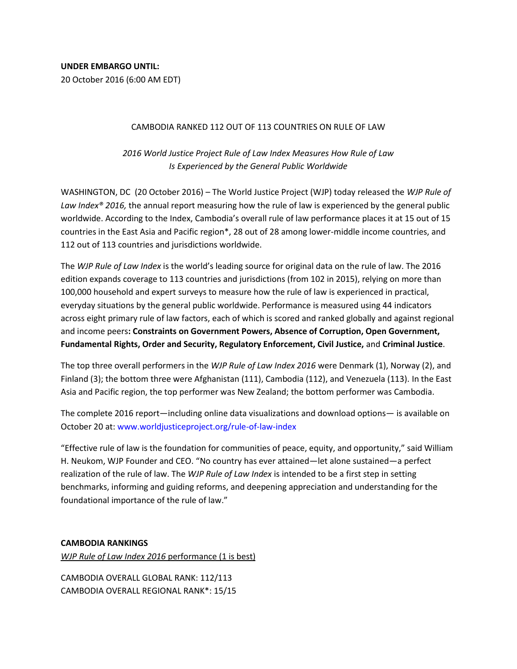## CAMBODIA RANKED 112 OUT OF 113 COUNTRIES ON RULE OF LAW

*2016 World Justice Project Rule of Law Index Measures How Rule of Law Is Experienced by the General Public Worldwide* 

WASHINGTON, DC (20 October 2016) – The World Justice Project (WJP) today released the *WJP Rule of Law Index® 2016,* the annual report measuring how the rule of law is experienced by the general public worldwide. According to the Index, Cambodia's overall rule of law performance places it at 15 out of 15 countries in the East Asia and Pacific region\*, 28 out of 28 among lower-middle income countries, and 112 out of 113 countries and jurisdictions worldwide.

The *WJP Rule of Law Index* is the world's leading source for original data on the rule of law. The 2016 edition expands coverage to 113 countries and jurisdictions (from 102 in 2015), relying on more than 100,000 household and expert surveys to measure how the rule of law is experienced in practical, everyday situations by the general public worldwide. Performance is measured using 44 indicators across eight primary rule of law factors, each of which is scored and ranked globally and against regional and income peers**: Constraints on Government Powers, Absence of Corruption, Open Government, Fundamental Rights, Order and Security, Regulatory Enforcement, Civil Justice,** and **Criminal Justice**.

The top three overall performers in the *WJP Rule of Law Index 2016* were Denmark (1), Norway (2), and Finland (3); the bottom three were Afghanistan (111), Cambodia (112), and Venezuela (113). In the East Asia and Pacific region, the top performer was New Zealand; the bottom performer was Cambodia.

The complete 2016 report—including online data visualizations and download options— is available on October 20 at: www.worldjusticeproject.org/rule-of-law-index

"Effective rule of law is the foundation for communities of peace, equity, and opportunity," said William H. Neukom, WJP Founder and CEO. "No country has ever attained—let alone sustained—a perfect realization of the rule of law. The *WJP Rule of Law Index* is intended to be a first step in setting benchmarks, informing and guiding reforms, and deepening appreciation and understanding for the foundational importance of the rule of law."

## **CAMBODIA RANKINGS**

*WJP Rule of Law Index 2016* performance (1 is best)

CAMBODIA OVERALL GLOBAL RANK: 112/113 CAMBODIA OVERALL REGIONAL RANK\*: 15/15